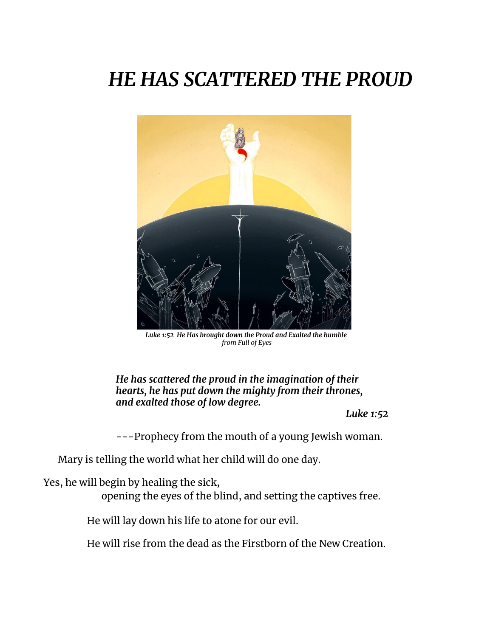## *HE HAS SCATTERED THE PROUD*



*Luke 1:52 He Has brought down the Proud and Exalted the humble from Full of Eyes*

*He has scattered the proud in the imagination of their hearts, he has put down the mighty from their thrones, and exalted those of low degree.*

*Luke 1:52*

---Prophecy from the mouth of a young Jewish woman.

Mary is telling the world what her child will do one day.

Yes, he will begin by healing the sick,

opening the eyes of the blind, and setting the captives free.

He will lay down his life to atone for our evil.

He will rise from the dead as the Firstborn of the New Creation.